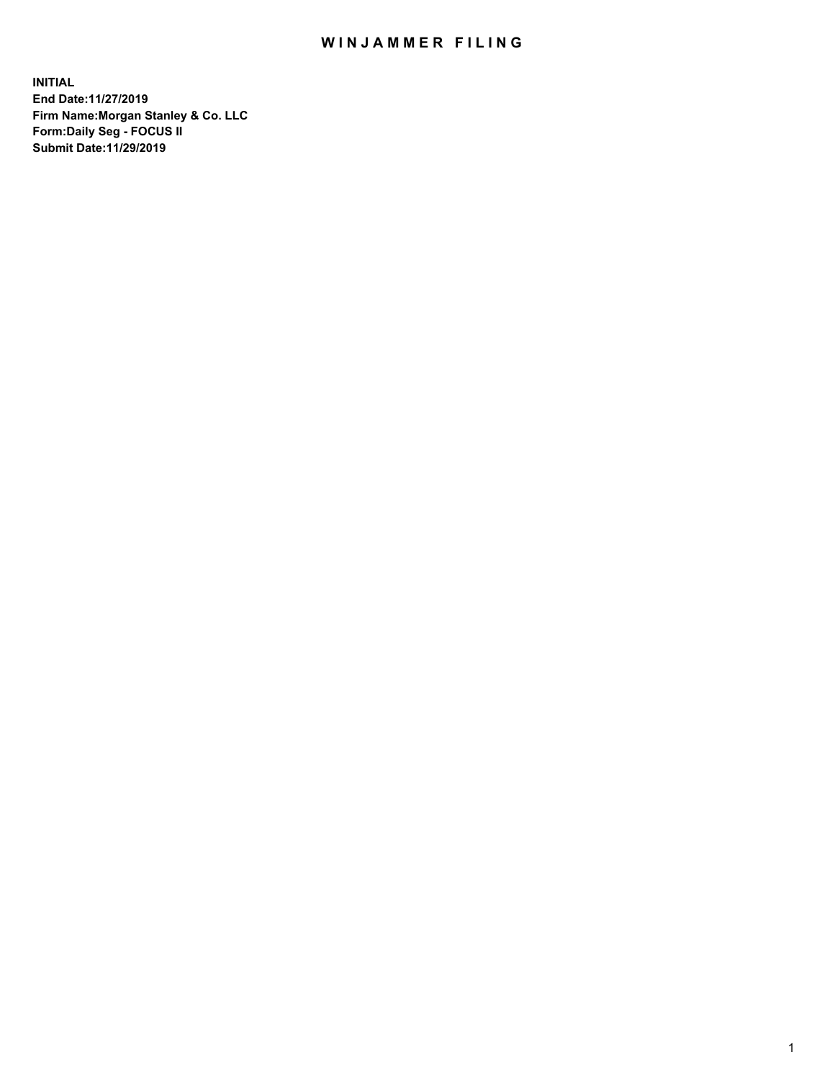## WIN JAMMER FILING

**INITIAL End Date:11/27/2019 Firm Name:Morgan Stanley & Co. LLC Form:Daily Seg - FOCUS II Submit Date:11/29/2019**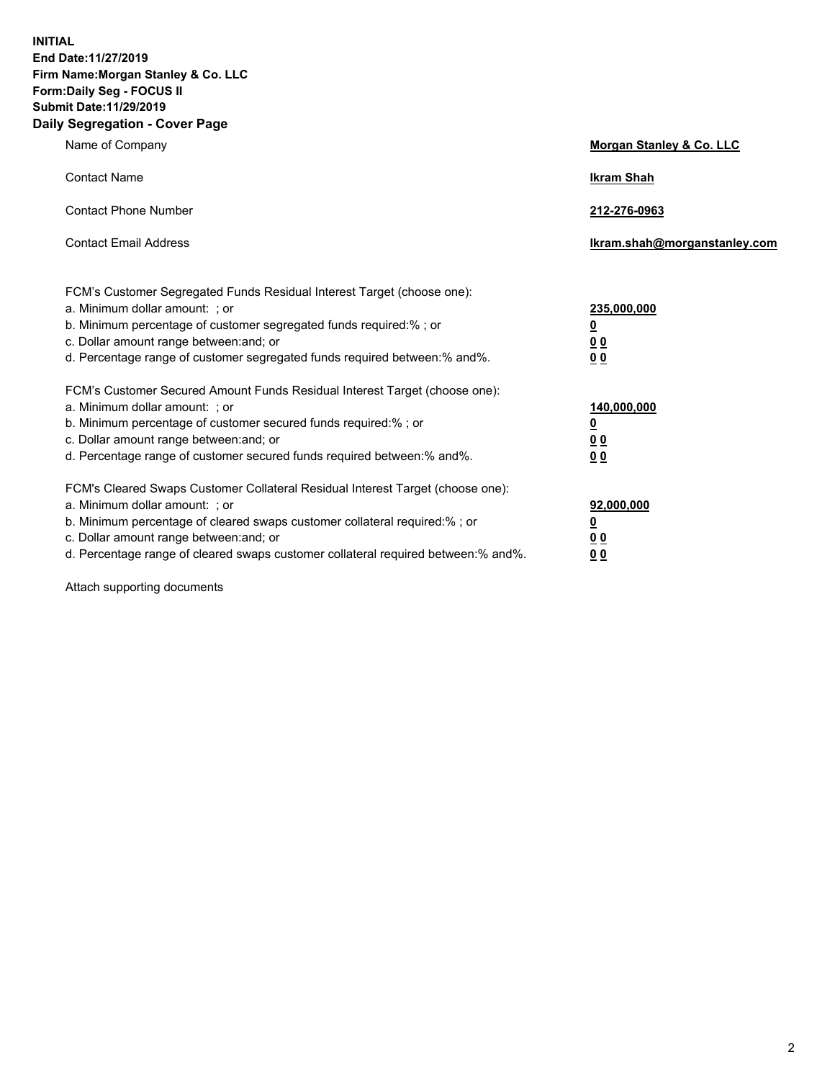**INITIAL End Date:11/27/2019 Firm Name:Morgan Stanley & Co. LLC Form:Daily Seg - FOCUS II Submit Date:11/29/2019 Daily Segregation - Cover Page**

| Name of Company                                                                   | Morgan Stanley & Co. LLC     |
|-----------------------------------------------------------------------------------|------------------------------|
| <b>Contact Name</b>                                                               | <b>Ikram Shah</b>            |
| <b>Contact Phone Number</b>                                                       | 212-276-0963                 |
| <b>Contact Email Address</b>                                                      | Ikram.shah@morganstanley.com |
| FCM's Customer Segregated Funds Residual Interest Target (choose one):            |                              |
| a. Minimum dollar amount: ; or                                                    | 235,000,000                  |
| b. Minimum percentage of customer segregated funds required:% ; or                | <u>0</u>                     |
| c. Dollar amount range between: and; or                                           | <u>00</u>                    |
| d. Percentage range of customer segregated funds required between:% and%.         | 0 <sub>0</sub>               |
| FCM's Customer Secured Amount Funds Residual Interest Target (choose one):        |                              |
| a. Minimum dollar amount: ; or                                                    | 140,000,000                  |
| b. Minimum percentage of customer secured funds required:%; or                    | <u>0</u>                     |
| c. Dollar amount range between: and; or                                           | <u>00</u>                    |
| d. Percentage range of customer secured funds required between:% and%.            | 00                           |
| FCM's Cleared Swaps Customer Collateral Residual Interest Target (choose one):    |                              |
| a. Minimum dollar amount: ; or                                                    | 92,000,000                   |
| b. Minimum percentage of cleared swaps customer collateral required:% ; or        | <u>0</u>                     |
| c. Dollar amount range between: and; or                                           | 0 Q                          |
| d. Percentage range of cleared swaps customer collateral required between:% and%. | 00                           |

Attach supporting documents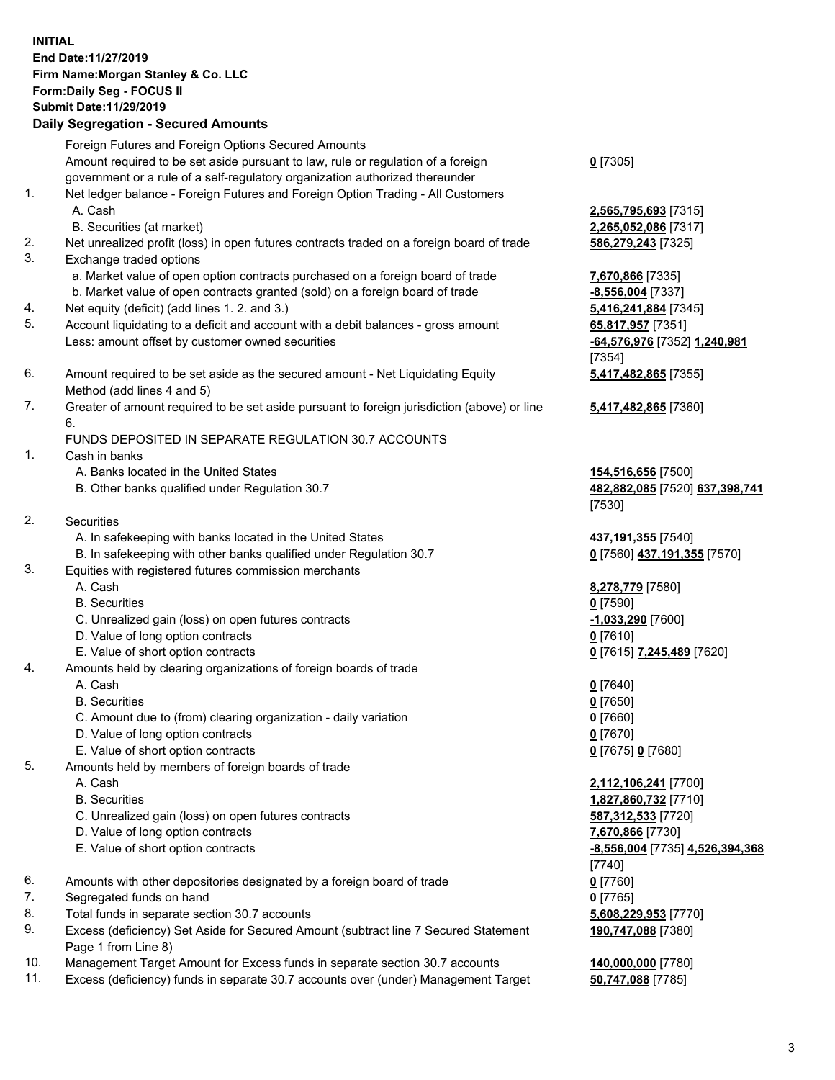## **INITIAL End Date:11/27/2019 Firm Name:Morgan Stanley & Co. LLC Form:Daily Seg - FOCUS II Submit Date:11/29/2019**

**Daily Segregation - Secured Amounts** Foreign Futures and Foreign Options Secured Amounts Amount required to be set aside pursuant to law, rule or regulation of a foreign government or a rule of a self-regulatory organization authorized thereunder 1. Net ledger balance - Foreign Futures and Foreign Option Trading - All Customers A. Cash **2,565,795,693** [7315] B. Securities (at market) **2,265,052,086** [7317] 2. Net unrealized profit (loss) in open futures contracts traded on a foreign board of trade **586,279,243** [7325] 3. Exchange traded options a. Market value of open option contracts purchased on a foreign board of trade **7,670,866** [7335] b. Market value of open contracts granted (sold) on a foreign board of trade **-8,556,004** [7337] 4. Net equity (deficit) (add lines 1. 2. and 3.) **5,416,241,884** [7345] 5. Account liquidating to a deficit and account with a debit balances - gross amount **65,817,957** [7351] Less: amount offset by customer owned securities **-64,576,976** [7352] **1,240,981** 6. Amount required to be set aside as the secured amount - Net Liquidating Equity Method (add lines 4 and 5) 7. Greater of amount required to be set aside pursuant to foreign jurisdiction (above) or line 6. FUNDS DEPOSITED IN SEPARATE REGULATION 30.7 ACCOUNTS 1. Cash in banks A. Banks located in the United States **154,516,656** [7500] B. Other banks qualified under Regulation 30.7 **482,882,085** [7520] **637,398,741** 2. Securities A. In safekeeping with banks located in the United States **437,191,355** [7540] B. In safekeeping with other banks qualified under Regulation 30.7 **0** [7560] **437,191,355** [7570] 3. Equities with registered futures commission merchants A. Cash **8,278,779** [7580] B. Securities **0** [7590]

- C. Unrealized gain (loss) on open futures contracts **-1,033,290** [7600]
- D. Value of long option contracts **0** [7610]
- E. Value of short option contracts **0** [7615] **7,245,489** [7620]
- 4. Amounts held by clearing organizations of foreign boards of trade
	- A. Cash **0** [7640]
	- B. Securities **0** [7650]
	- C. Amount due to (from) clearing organization daily variation **0** [7660]
	- D. Value of long option contracts **0** [7670]
	- E. Value of short option contracts **0** [7675] **0** [7680]
- 5. Amounts held by members of foreign boards of trade
	-
	-
	- C. Unrealized gain (loss) on open futures contracts **587,312,533** [7720]
	- D. Value of long option contracts **7,670,866** [7730]
	- E. Value of short option contracts **-8,556,004** [7735] **4,526,394,368**
- 6. Amounts with other depositories designated by a foreign board of trade **0** [7760]
- 7. Segregated funds on hand **0** [7765]
- 8. Total funds in separate section 30.7 accounts **5,608,229,953** [7770]
- 9. Excess (deficiency) Set Aside for Secured Amount (subtract line 7 Secured Statement Page 1 from Line 8)
- 10. Management Target Amount for Excess funds in separate section 30.7 accounts **140,000,000** [7780]
- 11. Excess (deficiency) funds in separate 30.7 accounts over (under) Management Target **50,747,088** [7785]

**0** [7305]

[7354] **5,417,482,865** [7355]

**5,417,482,865** [7360]

[7530]

 A. Cash **2,112,106,241** [7700] B. Securities **1,827,860,732** [7710] [7740] **190,747,088** [7380]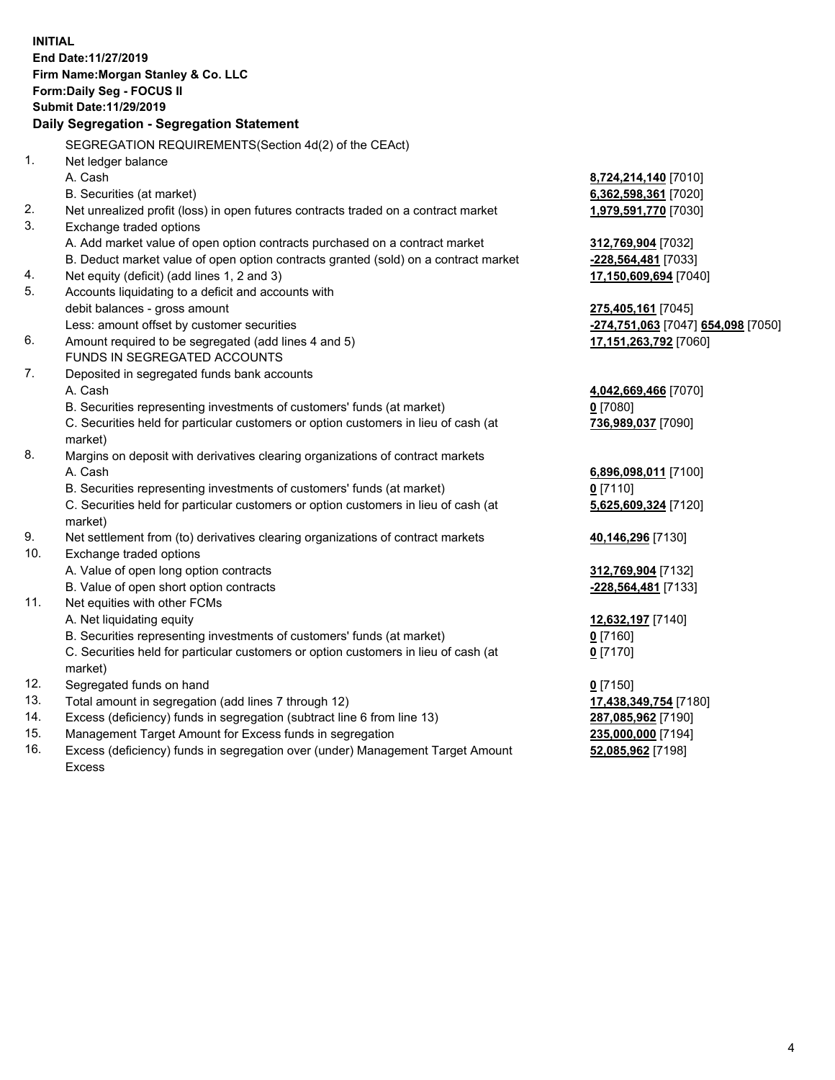|                | <b>INITIAL</b><br>End Date:11/27/2019<br>Firm Name: Morgan Stanley & Co. LLC<br>Form: Daily Seg - FOCUS II<br><b>Submit Date: 11/29/2019</b> |                                                        |
|----------------|----------------------------------------------------------------------------------------------------------------------------------------------|--------------------------------------------------------|
|                | Daily Segregation - Segregation Statement                                                                                                    |                                                        |
|                | SEGREGATION REQUIREMENTS(Section 4d(2) of the CEAct)                                                                                         |                                                        |
| 1 <sub>1</sub> | Net ledger balance                                                                                                                           |                                                        |
|                | A. Cash                                                                                                                                      | 8,724,214,140 [7010]                                   |
|                | B. Securities (at market)                                                                                                                    | 6,362,598,361 [7020]                                   |
| 2.             | Net unrealized profit (loss) in open futures contracts traded on a contract market                                                           | 1,979,591,770 [7030]                                   |
| 3.             | Exchange traded options                                                                                                                      |                                                        |
|                | A. Add market value of open option contracts purchased on a contract market                                                                  | 312,769,904 [7032]                                     |
|                | B. Deduct market value of open option contracts granted (sold) on a contract market                                                          | -228,564,481 [7033]                                    |
| 4.             | Net equity (deficit) (add lines 1, 2 and 3)                                                                                                  | 17,150,609,694 [7040]                                  |
| 5.             | Accounts liquidating to a deficit and accounts with                                                                                          |                                                        |
|                | debit balances - gross amount                                                                                                                | 275,405,161 [7045]                                     |
|                | Less: amount offset by customer securities                                                                                                   | <mark>-274,751,063</mark> [7047] <b>654,098</b> [7050] |
| 6.             | Amount required to be segregated (add lines 4 and 5)                                                                                         | 17,151,263,792 [7060]                                  |
|                | FUNDS IN SEGREGATED ACCOUNTS                                                                                                                 |                                                        |
| 7.             | Deposited in segregated funds bank accounts                                                                                                  |                                                        |
|                | A. Cash                                                                                                                                      | 4,042,669,466 [7070]                                   |
|                | B. Securities representing investments of customers' funds (at market)                                                                       | $0$ [7080]                                             |
|                | C. Securities held for particular customers or option customers in lieu of cash (at                                                          | 736,989,037 [7090]                                     |
|                | market)                                                                                                                                      |                                                        |
| 8.             | Margins on deposit with derivatives clearing organizations of contract markets                                                               |                                                        |
|                | A. Cash                                                                                                                                      | 6,896,098,011 [7100]                                   |
|                | B. Securities representing investments of customers' funds (at market)                                                                       | $0$ [7110]                                             |
|                | C. Securities held for particular customers or option customers in lieu of cash (at<br>market)                                               | 5,625,609,324 [7120]                                   |
| 9.             | Net settlement from (to) derivatives clearing organizations of contract markets                                                              | 40,146,296 [7130]                                      |
| 10.            | Exchange traded options                                                                                                                      |                                                        |
|                | A. Value of open long option contracts                                                                                                       | 312,769,904 [7132]                                     |
|                | B. Value of open short option contracts                                                                                                      | -228,564,481 [7133]                                    |
| 11.            | Net equities with other FCMs                                                                                                                 |                                                        |
|                | A. Net liquidating equity                                                                                                                    | 12,632,197 [7140]                                      |
|                | B. Securities representing investments of customers' funds (at market)                                                                       | $0$ [7160]                                             |
|                | C. Securities held for particular customers or option customers in lieu of cash (at                                                          | $0$ [7170]                                             |
|                | market)                                                                                                                                      |                                                        |
| 12.            | Segregated funds on hand                                                                                                                     | $0$ [7150]                                             |
| 13.            | Total amount in segregation (add lines 7 through 12)                                                                                         | 17,438,349,754 [7180]                                  |
| 14.            | Excess (deficiency) funds in segregation (subtract line 6 from line 13)                                                                      | 287,085,962 [7190]                                     |
| 15.            | Management Target Amount for Excess funds in segregation                                                                                     | 235,000,000 [7194]                                     |
| 16.            | Excess (deficiency) funds in segregation over (under) Management Target Amount                                                               | 52,085,962 [7198]                                      |

Excess